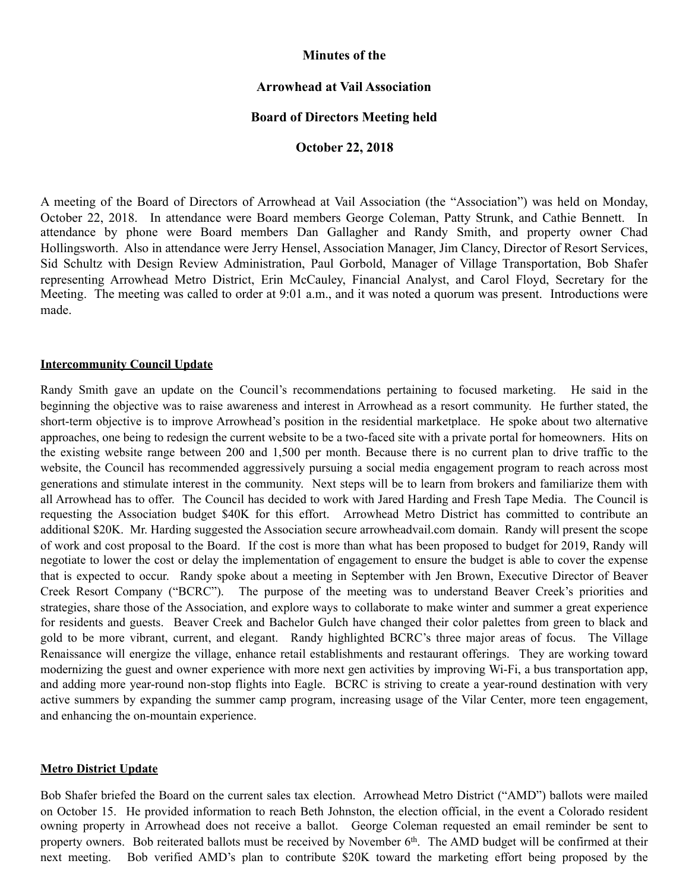## **Minutes of the**

# **Arrowhead at Vail Association**

## **Board of Directors Meeting held**

## **October 22, 2018**

A meeting of the Board of Directors of Arrowhead at Vail Association (the "Association") was held on Monday, October 22, 2018. In attendance were Board members George Coleman, Patty Strunk, and Cathie Bennett. In attendance by phone were Board members Dan Gallagher and Randy Smith, and property owner Chad Hollingsworth. Also in attendance were Jerry Hensel, Association Manager, Jim Clancy, Director of Resort Services, Sid Schultz with Design Review Administration, Paul Gorbold, Manager of Village Transportation, Bob Shafer representing Arrowhead Metro District, Erin McCauley, Financial Analyst, and Carol Floyd, Secretary for the Meeting. The meeting was called to order at 9:01 a.m., and it was noted a quorum was present. Introductions were made.

#### **Intercommunity Council Update**

Randy Smith gave an update on the Council's recommendations pertaining to focused marketing. He said in the beginning the objective was to raise awareness and interest in Arrowhead as a resort community. He further stated, the short-term objective is to improve Arrowhead's position in the residential marketplace. He spoke about two alternative approaches, one being to redesign the current website to be a two-faced site with a private portal for homeowners. Hits on the existing website range between 200 and 1,500 per month. Because there is no current plan to drive traffic to the website, the Council has recommended aggressively pursuing a social media engagement program to reach across most generations and stimulate interest in the community. Next steps will be to learn from brokers and familiarize them with all Arrowhead has to offer. The Council has decided to work with Jared Harding and Fresh Tape Media. The Council is requesting the Association budget \$40K for this effort. Arrowhead Metro District has committed to contribute an additional \$20K. Mr. Harding suggested the Association secure arrowheadvail.com domain. Randy will present the scope of work and cost proposal to the Board. If the cost is more than what has been proposed to budget for 2019, Randy will negotiate to lower the cost or delay the implementation of engagement to ensure the budget is able to cover the expense that is expected to occur. Randy spoke about a meeting in September with Jen Brown, Executive Director of Beaver Creek Resort Company ("BCRC"). The purpose of the meeting was to understand Beaver Creek's priorities and strategies, share those of the Association, and explore ways to collaborate to make winter and summer a great experience for residents and guests. Beaver Creek and Bachelor Gulch have changed their color palettes from green to black and gold to be more vibrant, current, and elegant. Randy highlighted BCRC's three major areas of focus. The Village Renaissance will energize the village, enhance retail establishments and restaurant offerings. They are working toward modernizing the guest and owner experience with more next gen activities by improving Wi-Fi, a bus transportation app, and adding more year-round non-stop flights into Eagle. BCRC is striving to create a year-round destination with very active summers by expanding the summer camp program, increasing usage of the Vilar Center, more teen engagement, and enhancing the on-mountain experience.

## **Metro District Update**

Bob Shafer briefed the Board on the current sales tax election. Arrowhead Metro District ("AMD") ballots were mailed on October 15. He provided information to reach Beth Johnston, the election official, in the event a Colorado resident owning property in Arrowhead does not receive a ballot. George Coleman requested an email reminder be sent to property owners. Bob reiterated ballots must be received by November 6<sup>th</sup>. The AMD budget will be confirmed at their next meeting. Bob verified AMD's plan to contribute \$20K toward the marketing effort being proposed by the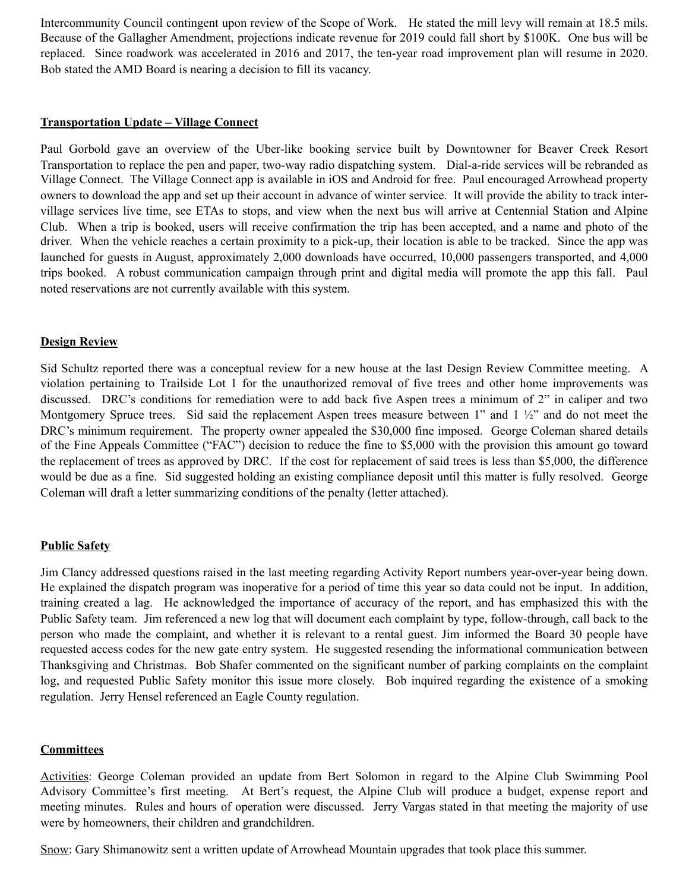Intercommunity Council contingent upon review of the Scope of Work. He stated the mill levy will remain at 18.5 mils. Because of the Gallagher Amendment, projections indicate revenue for 2019 could fall short by \$100K. One bus will be replaced. Since roadwork was accelerated in 2016 and 2017, the ten-year road improvement plan will resume in 2020. Bob stated the AMD Board is nearing a decision to fill its vacancy.

#### **Transportation Update – Village Connect**

Paul Gorbold gave an overview of the Uber-like booking service built by Downtowner for Beaver Creek Resort Transportation to replace the pen and paper, two-way radio dispatching system. Dial-a-ride services will be rebranded as Village Connect. The Village Connect app is available in iOS and Android for free. Paul encouraged Arrowhead property owners to download the app and set up their account in advance of winter service. It will provide the ability to track intervillage services live time, see ETAs to stops, and view when the next bus will arrive at Centennial Station and Alpine Club. When a trip is booked, users will receive confirmation the trip has been accepted, and a name and photo of the driver. When the vehicle reaches a certain proximity to a pick-up, their location is able to be tracked. Since the app was launched for guests in August, approximately 2,000 downloads have occurred, 10,000 passengers transported, and 4,000 trips booked. A robust communication campaign through print and digital media will promote the app this fall. Paul noted reservations are not currently available with this system.

## **Design Review**

Sid Schultz reported there was a conceptual review for a new house at the last Design Review Committee meeting. A violation pertaining to Trailside Lot 1 for the unauthorized removal of five trees and other home improvements was discussed. DRC's conditions for remediation were to add back five Aspen trees a minimum of 2" in caliper and two Montgomery Spruce trees. Sid said the replacement Aspen trees measure between 1" and 1 ½" and do not meet the DRC's minimum requirement. The property owner appealed the \$30,000 fine imposed. George Coleman shared details of the Fine Appeals Committee ("FAC") decision to reduce the fine to \$5,000 with the provision this amount go toward the replacement of trees as approved by DRC. If the cost for replacement of said trees is less than \$5,000, the difference would be due as a fine. Sid suggested holding an existing compliance deposit until this matter is fully resolved. George Coleman will draft a letter summarizing conditions of the penalty (letter attached).

## **Public Safety**

Jim Clancy addressed questions raised in the last meeting regarding Activity Report numbers year-over-year being down. He explained the dispatch program was inoperative for a period of time this year so data could not be input. In addition, training created a lag. He acknowledged the importance of accuracy of the report, and has emphasized this with the Public Safety team. Jim referenced a new log that will document each complaint by type, follow-through, call back to the person who made the complaint, and whether it is relevant to a rental guest. Jim informed the Board 30 people have requested access codes for the new gate entry system. He suggested resending the informational communication between Thanksgiving and Christmas. Bob Shafer commented on the significant number of parking complaints on the complaint log, and requested Public Safety monitor this issue more closely. Bob inquired regarding the existence of a smoking regulation. Jerry Hensel referenced an Eagle County regulation.

## **Committees**

Activities: George Coleman provided an update from Bert Solomon in regard to the Alpine Club Swimming Pool Advisory Committee's first meeting. At Bert's request, the Alpine Club will produce a budget, expense report and meeting minutes. Rules and hours of operation were discussed. Jerry Vargas stated in that meeting the majority of use were by homeowners, their children and grandchildren.

Snow: Gary Shimanowitz sent a written update of Arrowhead Mountain upgrades that took place this summer.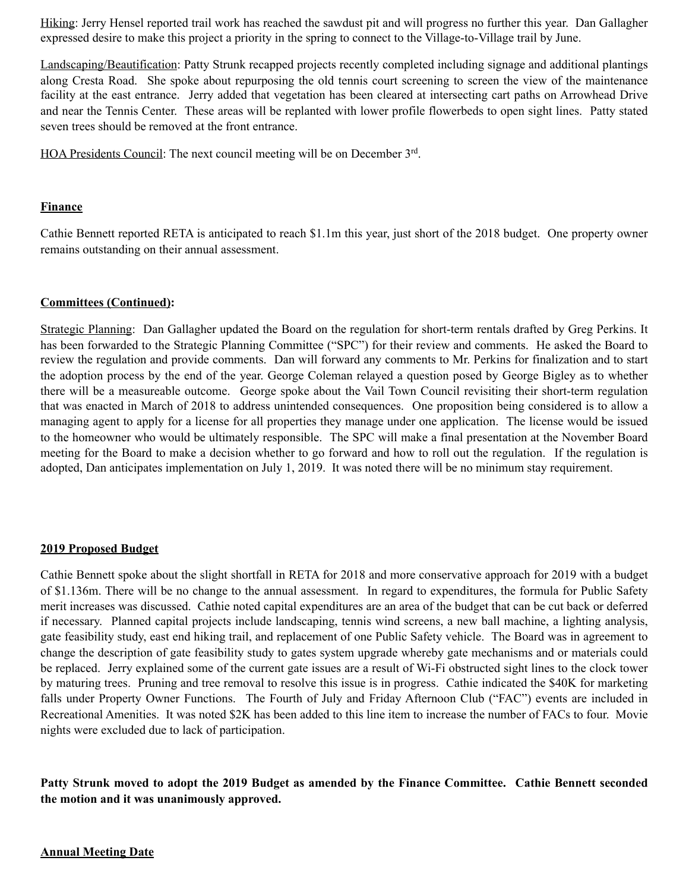Hiking: Jerry Hensel reported trail work has reached the sawdust pit and will progress no further this year. Dan Gallagher expressed desire to make this project a priority in the spring to connect to the Village-to-Village trail by June.

Landscaping/Beautification: Patty Strunk recapped projects recently completed including signage and additional plantings along Cresta Road. She spoke about repurposing the old tennis court screening to screen the view of the maintenance facility at the east entrance. Jerry added that vegetation has been cleared at intersecting cart paths on Arrowhead Drive and near the Tennis Center. These areas will be replanted with lower profile flowerbeds to open sight lines. Patty stated seven trees should be removed at the front entrance.

HOA Presidents Council: The next council meeting will be on December 3rd.

#### **Finance**

Cathie Bennett reported RETA is anticipated to reach \$1.1m this year, just short of the 2018 budget. One property owner remains outstanding on their annual assessment.

#### **Committees (Continued):**

Strategic Planning: Dan Gallagher updated the Board on the regulation for short-term rentals drafted by Greg Perkins. It has been forwarded to the Strategic Planning Committee ("SPC") for their review and comments. He asked the Board to review the regulation and provide comments. Dan will forward any comments to Mr. Perkins for finalization and to start the adoption process by the end of the year. George Coleman relayed a question posed by George Bigley as to whether there will be a measureable outcome. George spoke about the Vail Town Council revisiting their short-term regulation that was enacted in March of 2018 to address unintended consequences. One proposition being considered is to allow a managing agent to apply for a license for all properties they manage under one application. The license would be issued to the homeowner who would be ultimately responsible. The SPC will make a final presentation at the November Board meeting for the Board to make a decision whether to go forward and how to roll out the regulation. If the regulation is adopted, Dan anticipates implementation on July 1, 2019. It was noted there will be no minimum stay requirement.

#### **2019 Proposed Budget**

Cathie Bennett spoke about the slight shortfall in RETA for 2018 and more conservative approach for 2019 with a budget of \$1.136m. There will be no change to the annual assessment. In regard to expenditures, the formula for Public Safety merit increases was discussed. Cathie noted capital expenditures are an area of the budget that can be cut back or deferred if necessary. Planned capital projects include landscaping, tennis wind screens, a new ball machine, a lighting analysis, gate feasibility study, east end hiking trail, and replacement of one Public Safety vehicle. The Board was in agreement to change the description of gate feasibility study to gates system upgrade whereby gate mechanisms and or materials could be replaced. Jerry explained some of the current gate issues are a result of Wi-Fi obstructed sight lines to the clock tower by maturing trees. Pruning and tree removal to resolve this issue is in progress. Cathie indicated the \$40K for marketing falls under Property Owner Functions. The Fourth of July and Friday Afternoon Club ("FAC") events are included in Recreational Amenities. It was noted \$2K has been added to this line item to increase the number of FACs to four. Movie nights were excluded due to lack of participation.

**Patty Strunk moved to adopt the 2019 Budget as amended by the Finance Committee. Cathie Bennett seconded the motion and it was unanimously approved.** 

## **Annual Meeting Date**